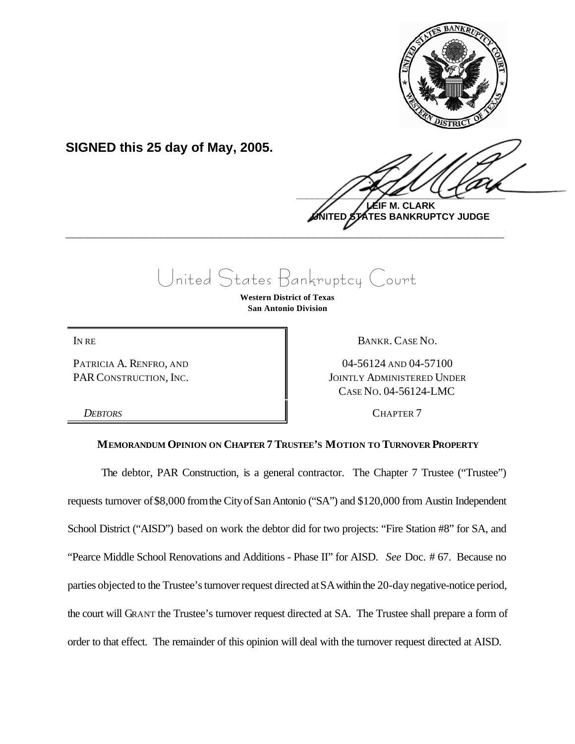

**SIGNED this 25 day of May, 2005.**

 $\frac{1}{2}$ **LEIF M. CLARK**

**UNITED STATES BANKRUPTCY JUDGE \_\_\_\_\_\_\_\_\_\_\_\_\_\_\_\_\_\_\_\_\_\_\_\_\_\_\_\_\_\_\_\_\_\_\_\_\_\_\_\_\_\_\_\_\_\_\_\_\_\_\_\_\_\_\_\_\_\_\_\_**

## United States Bankruptcy Court

**Western District of Texas San Antonio Division**

PATRICIA A. RENFRO, AND PAR CONSTRUCTION, INC.

IN RE BANKR. CASE NO.

04-56124 AND 04-57100 JOINTLY ADMINISTERED UNDER CASE NO. 04-56124-LMC

*DEBTORS* CHAPTER 7

## **MEMORANDUM OPINION ON CHAPTER 7 TRUSTEE'S MOTION TO TURNOVER PROPERTY**

The debtor, PAR Construction, is a general contractor. The Chapter 7 Trustee ("Trustee") requests turnover of\$8,000 fromthe CityofSanAntonio ("SA") and \$120,000 from Austin Independent School District ("AISD") based on work the debtor did for two projects: "Fire Station #8" for SA, and "Pearce Middle School Renovations and Additions - Phase II" for AISD. *See* Doc. # 67. Because no parties objected to the Trustee's turnover request directed at SA within the 20-day negative-notice period, the court will GRANT the Trustee's turnover request directed at SA. The Trustee shall prepare a form of order to that effect. The remainder of this opinion will deal with the turnover request directed at AISD.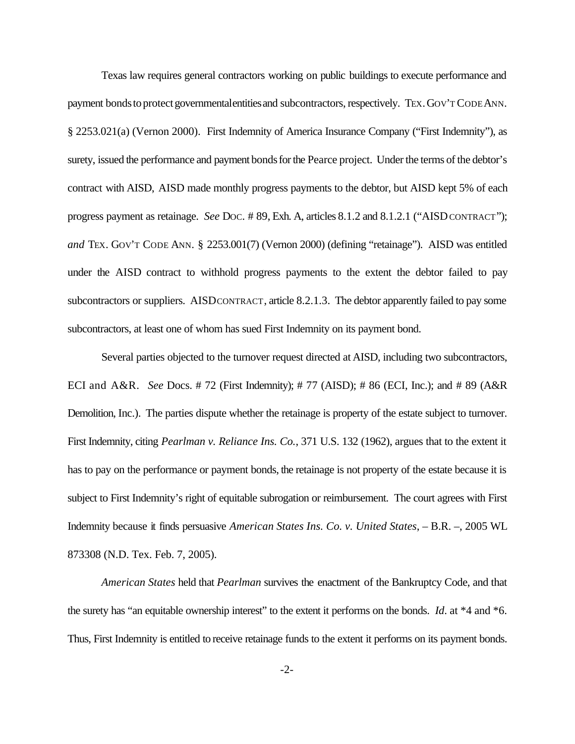Texas law requires general contractors working on public buildings to execute performance and payment bonds to protect governmentalentities and subcontractors, respectively. TEX. GOV'T CODE ANN. § 2253.021(a) (Vernon 2000). First Indemnity of America Insurance Company ("First Indemnity"), as surety, issued the performance and payment bonds for the Pearce project. Under the terms of the debtor's contract with AISD, AISD made monthly progress payments to the debtor, but AISD kept 5% of each progress payment as retainage. *See* DOC. # 89, Exh. A, articles 8.1.2 and 8.1.2.1 ("AISD CONTRACT"); *and* TEX. GOV'T CODE ANN. § 2253.001(7) (Vernon 2000) (defining "retainage"). AISD was entitled under the AISD contract to withhold progress payments to the extent the debtor failed to pay subcontractors or suppliers. AISDCONTRACT, article 8.2.1.3. The debtor apparently failed to pay some subcontractors, at least one of whom has sued First Indemnity on its payment bond.

Several parties objected to the turnover request directed at AISD, including two subcontractors, ECI and A&R. *See* Docs. # 72 (First Indemnity); # 77 (AISD); # 86 (ECI, Inc.); and # 89 (A&R Demolition, Inc.). The parties dispute whether the retainage is property of the estate subject to turnover. First Indemnity, citing *Pearlman v. Reliance Ins. Co.*, 371 U.S. 132 (1962), argues that to the extent it has to pay on the performance or payment bonds, the retainage is not property of the estate because it is subject to First Indemnity's right of equitable subrogation or reimbursement. The court agrees with First Indemnity because it finds persuasive *American States Ins. Co. v. United States*, – B.R. –, 2005 WL 873308 (N.D. Tex. Feb. 7, 2005).

*American States* held that *Pearlman* survives the enactment of the Bankruptcy Code, and that the surety has "an equitable ownership interest" to the extent it performs on the bonds. *Id*. at \*4 and \*6. Thus, First Indemnity is entitled to receive retainage funds to the extent it performs on its payment bonds.